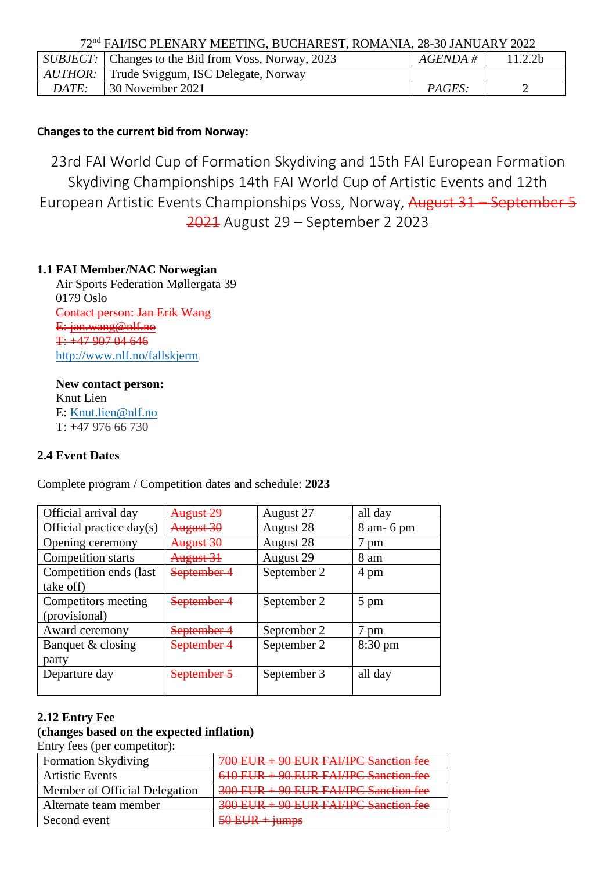72nd FAI/ISC PLENARY MEETING, BUCHAREST, ROMANIA, 28-30 JANUARY 2022

|       | <i>SUBJECT</i> : Changes to the Bid from Voss, Norway, 2023 | $AGENDA \;\#$ | 11.2.2 <sub>b</sub> |
|-------|-------------------------------------------------------------|---------------|---------------------|
|       | <i>AUTHOR:</i> Trude Sviggum, ISC Delegate, Norway          |               |                     |
| DATE: | 30 November 2021                                            | PAGES:        |                     |
|       |                                                             |               |                     |

## **Changes to the current bid from Norway:**

23rd FAI World Cup of Formation Skydiving and 15th FAI European Formation Skydiving Championships 14th FAI World Cup of Artistic Events and 12th European Artistic Events Championships Voss, Norway, August 31 – September 5 2021 August 29 – September 2 2023

## **1.1 FAI Member/NAC Norwegian**

Air Sports Federation Møllergata 39 0179 Oslo Contact person: Jan Erik Wang E: [jan.wang@nlf.no](mailto:jan.wang@nlf.no) T: +47 907 04 646 <http://www.nlf.no/fallskjerm>

**New contact person:** Knut Lien E: [Knut.lien@nlf.no](mailto:Knut.lien@nlf.no) T: +47 976 66 730

# **2.4 Event Dates**

Complete program / Competition dates and schedule: **2023**

| Official arrival day     | August 29              | August 27   | all day           |
|--------------------------|------------------------|-------------|-------------------|
| Official practice day(s) | August 30              | August 28   | 8 am - 6 pm       |
| Opening ceremony         | August 30              | August 28   | $_{\text{pm}}$    |
| Competition starts       | August 31              | August 29   | 8 am              |
| Competition ends (last   | September 4            | September 2 | 4 pm              |
| take off)                |                        |             |                   |
| Competitors meeting      | September-             | September 2 | 5 pm              |
| (provisional)            |                        |             |                   |
| Award ceremony           | <del>September 4</del> | September 2 | pm                |
| Banquet & closing        | <del>September</del>   | September 2 | $8:30 \text{ pm}$ |
| party                    |                        |             |                   |
| Departure day            | <del>September :</del> | September 3 | all day           |
|                          |                        |             |                   |

#### **2.12 Entry Fee**

# **(changes based on the expected inflation)**

Entry fees (per competitor):

| <b>Formation Skydiving</b>    | 700 EUR + 90 EUR FAI/IPC Sanction fee |
|-------------------------------|---------------------------------------|
| <b>Artistic Events</b>        | 610 EUR + 90 EUR FAI/IPC Sanction fee |
| Member of Official Delegation | 300 EUR + 90 EUR FAI/IPC Sanction fee |
| Alternate team member         | 300 EUR + 90 EUR FAI/IPC Sanction fee |
| Second event                  |                                       |